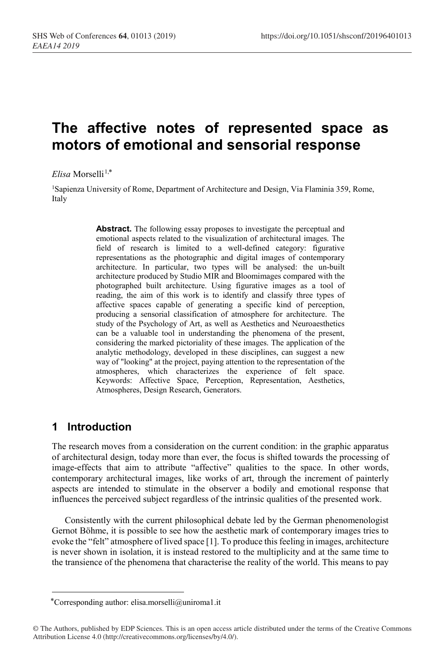# **The affective notes of represented space as motors of emotional and sensorial response**

 $Elisa$  Morselli<sup>1,\*</sup>

1Sapienza University of Rome, Department of Architecture and Design, Via Flaminia 359, Rome, Italy

> **Abstract.** The following essay proposes to investigate the perceptual and emotional aspects related to the visualization of architectural images. The field of research is limited to a well-defined category: figurative representations as the photographic and digital images of contemporary architecture. In particular, two types will be analysed: the un-built architecture produced by Studio MIR and Bloomimages compared with the photographed built architecture. Using figurative images as a tool of reading, the aim of this work is to identify and classify three types of affective spaces capable of generating a specific kind of perception, producing a sensorial classification of atmosphere for architecture. The study of the Psychology of Art, as well as Aesthetics and Neuroaesthetics can be a valuable tool in understanding the phenomena of the present, considering the marked pictoriality of these images. The application of the analytic methodology, developed in these disciplines, can suggest a new way of "looking" at the project, paying attention to the representation of the atmospheres, which characterizes the experience of felt space. Keywords: Affective Space, Perception, Representation, Aesthetics, Atmospheres, Design Research, Generators.

## **1 Introduction**

 $\overline{a}$ 

The research moves from a consideration on the current condition: in the graphic apparatus of architectural design, today more than ever, the focus is shifted towards the processing of image-effects that aim to attribute "affective" qualities to the space. In other words, contemporary architectural images, like works of art, through the increment of painterly aspects are intended to stimulate in the observer a bodily and emotional response that influences the perceived subject regardless of the intrinsic qualities of the presented work.

Consistently with the current philosophical debate led by the German phenomenologist Gernot Böhme, it is possible to see how the aesthetic mark of contemporary images tries to evoke the "felt" atmosphere of lived space [1]. To produce this feeling in images, architecture is never shown in isolation, it is instead restored to the multiplicity and at the same time to the transience of the phenomena that characterise the reality of the world. This means to pay

Corresponding author: elisa.morselli@uniroma1.it \*

<sup>©</sup> The Authors, published by EDP Sciences. This is an open access article distributed under the terms of the Creative Commons Attribution License 4.0 (http://creativecommons.org/licenses/by/4.0/).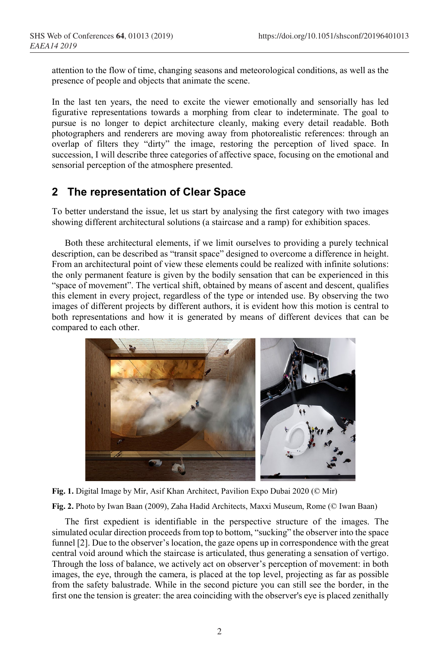attention to the flow of time, changing seasons and meteorological conditions, as well as the presence of people and objects that animate the scene.

In the last ten years, the need to excite the viewer emotionally and sensorially has led figurative representations towards a morphing from clear to indeterminate. The goal to pursue is no longer to depict architecture cleanly, making every detail readable. Both photographers and renderers are moving away from photorealistic references: through an overlap of filters they "dirty" the image, restoring the perception of lived space. In succession, I will describe three categories of affective space, focusing on the emotional and sensorial perception of the atmosphere presented.

#### **2 The representation of Clear Space**

To better understand the issue, let us start by analysing the first category with two images showing different architectural solutions (a staircase and a ramp) for exhibition spaces.

Both these architectural elements, if we limit ourselves to providing a purely technical description, can be described as "transit space" designed to overcome a difference in height. From an architectural point of view these elements could be realized with infinite solutions: the only permanent feature is given by the bodily sensation that can be experienced in this "space of movement". The vertical shift, obtained by means of ascent and descent, qualifies this element in every project, regardless of the type or intended use. By observing the two images of different projects by different authors, it is evident how this motion is central to both representations and how it is generated by means of different devices that can be compared to each other.





**Fig. 2.** Photo by Iwan Baan (2009), Zaha Hadid Architects, Maxxi Museum, Rome (© Iwan Baan)

The first expedient is identifiable in the perspective structure of the images. The simulated ocular direction proceeds from top to bottom, "sucking" the observer into the space funnel [2]. Due to the observer's location, the gaze opens up in correspondence with the great central void around which the staircase is articulated, thus generating a sensation of vertigo. Through the loss of balance, we actively act on observer's perception of movement: in both images, the eye, through the camera, is placed at the top level, projecting as far as possible from the safety balustrade. While in the second picture you can still see the border, in the first one the tension is greater: the area coinciding with the observer's eye is placed zenithally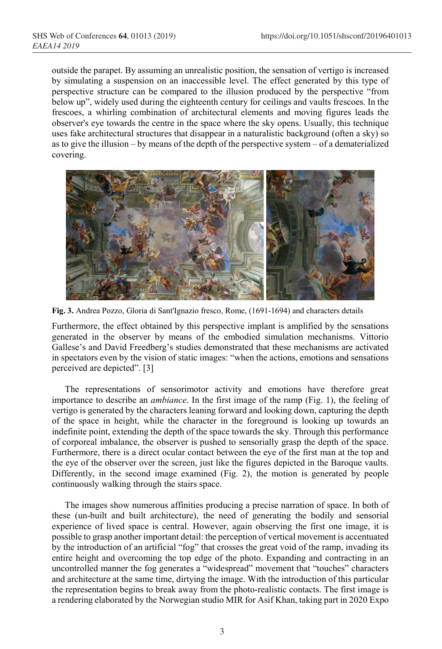outside the parapet. By assuming an unrealistic position, the sensation of vertigo is increased by simulating a suspension on an inaccessible level. The effect generated by this type of perspective structure can be compared to the illusion produced by the perspective "from below up", widely used during the eighteenth century for ceilings and vaults frescoes. In the frescoes, a whirling combination of architectural elements and moving figures leads the observer's eye towards the centre in the space where the sky opens. Usually, this technique uses fake architectural structures that disappear in a naturalistic background (often a sky) so as to give the illusion – by means of the depth of the perspective system – of a dematerialized covering.



**Fig. 3.** Andrea Pozzo, Gloria di Sant'Ignazio fresco, Rome, (1691-1694) and characters details

Furthermore, the effect obtained by this perspective implant is amplified by the sensations generated in the observer by means of the embodied simulation mechanisms. Vittorio Gallese's and David Freedberg's studies demonstrated that these mechanisms are activated in spectators even by the vision of static images: "when the actions, emotions and sensations perceived are depicted". [3]

The representations of sensorimotor activity and emotions have therefore great importance to describe an *ambiance*. In the first image of the ramp (Fig. 1), the feeling of vertigo is generated by the characters leaning forward and looking down, capturing the depth of the space in height, while the character in the foreground is looking up towards an indefinite point, extending the depth of the space towards the sky. Through this performance of corporeal imbalance, the observer is pushed to sensorially grasp the depth of the space. Furthermore, there is a direct ocular contact between the eye of the first man at the top and the eye of the observer over the screen, just like the figures depicted in the Baroque vaults. Differently, in the second image examined (Fig. 2), the motion is generated by people continuously walking through the stairs space.

The images show numerous affinities producing a precise narration of space. In both of these (un-built and built architecture), the need of generating the bodily and sensorial experience of lived space is central. However, again observing the first one image, it is possible to grasp another important detail: the perception of vertical movement is accentuated by the introduction of an artificial "fog" that crosses the great void of the ramp, invading its entire height and overcoming the top edge of the photo. Expanding and contracting in an uncontrolled manner the fog generates a "widespread" movement that "touches" characters and architecture at the same time, dirtying the image. With the introduction of this particular the representation begins to break away from the photo-realistic contacts. The first image is a rendering elaborated by the Norwegian studio MIR for Asif Khan, taking part in 2020 Expo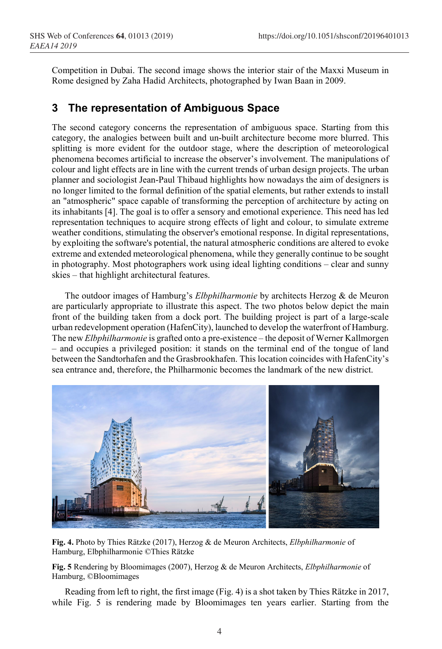Competition in Dubai. The second image shows the interior stair of the Maxxi Museum in Rome designed by Zaha Hadid Architects, photographed by Iwan Baan in 2009.

# **3 The representation of Ambiguous Space**

The second category concerns the representation of ambiguous space. Starting from this category, the analogies between built and un-built architecture become more blurred. This splitting is more evident for the outdoor stage, where the description of meteorological phenomena becomes artificial to increase the observer's involvement. The manipulations of colour and light effects are in line with the current trends of urban design projects. The urban planner and sociologist Jean-Paul Thibaud highlights how nowadays the aim of designers is no longer limited to the formal definition of the spatial elements, but rather extends to install an "atmospheric" space capable of transforming the perception of architecture by acting on its inhabitants [4]. The goal is to offer a sensory and emotional experience. This need has led representation techniques to acquire strong effects of light and colour, to simulate extreme weather conditions, stimulating the observer's emotional response. In digital representations, by exploiting the software's potential, the natural atmospheric conditions are altered to evoke extreme and extended meteorological phenomena, while they generally continue to be sought in photography. Most photographers work using ideal lighting conditions – clear and sunny skies – that highlight architectural features.

The outdoor images of Hamburg's *Elbphilharmonie* by architects Herzog & de Meuron are particularly appropriate to illustrate this aspect. The two photos below depict the main front of the building taken from a dock port. The building project is part of a large-scale urban redevelopment operation (HafenCity), launched to develop the waterfront of Hamburg. The new *Elbphilharmonie* is grafted onto a pre-existence – the deposit of Werner Kallmorgen – and occupies a privileged position: it stands on the terminal end of the tongue of land between the Sandtorhafen and the Grasbrookhafen. This location coincides with HafenCity's sea entrance and, therefore, the Philharmonic becomes the landmark of the new district.



**Fig. 4.** Photo by Thies Rätzke (2017), Herzog & de Meuron Architects, *Elbphilharmonie* of Hamburg, Elbphilharmonie ©Thies Rätzke

**Fig. 5** Rendering by Bloomimages (2007), Herzog & de Meuron Architects, *Elbphilharmonie* of Hamburg, ©Bloomimages

Reading from left to right, the first image (Fig. 4) is a shot taken by Thies Rätzke in 2017, while Fig. 5 is rendering made by Bloomimages ten years earlier. Starting from the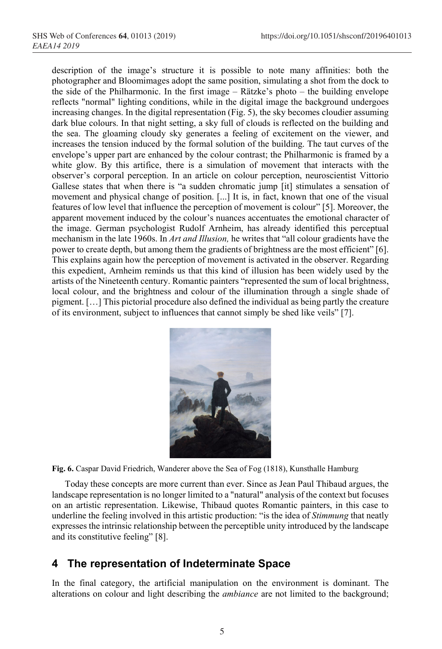description of the image's structure it is possible to note many affinities: both the photographer and Bloomimages adopt the same position, simulating a shot from the dock to the side of the Philharmonic. In the first image – Rätzke's photo – the building envelope reflects "normal" lighting conditions, while in the digital image the background undergoes increasing changes. In the digital representation (Fig. 5), the sky becomes cloudier assuming dark blue colours. In that night setting, a sky full of clouds is reflected on the building and the sea. The gloaming cloudy sky generates a feeling of excitement on the viewer, and increases the tension induced by the formal solution of the building. The taut curves of the envelope's upper part are enhanced by the colour contrast; the Philharmonic is framed by a white glow. By this artifice, there is a simulation of movement that interacts with the observer's corporal perception. In an article on colour perception, neuroscientist Vittorio Gallese states that when there is "a sudden chromatic jump [it] stimulates a sensation of movement and physical change of position. [...] It is, in fact, known that one of the visual features of low level that influence the perception of movement is colour" [5]. Moreover, the apparent movement induced by the colour's nuances accentuates the emotional character of the image. German psychologist Rudolf Arnheim, has already identified this perceptual mechanism in the late 1960s. In *Art and Illusion,* he writes that "all colour gradients have the power to create depth, but among them the gradients of brightness are the most efficient" [6]. This explains again how the perception of movement is activated in the observer. Regarding this expedient, Arnheim reminds us that this kind of illusion has been widely used by the artists of the Nineteenth century. Romantic painters "represented the sum of local brightness, local colour, and the brightness and colour of the illumination through a single shade of pigment. […] This pictorial procedure also defined the individual as being partly the creature of its environment, subject to influences that cannot simply be shed like veils" [7].



**Fig. 6.** Caspar David Friedrich, Wanderer above the Sea of Fog (1818), Kunsthalle Hamburg

Today these concepts are more current than ever. Since as Jean Paul Thibaud argues, the landscape representation is no longer limited to a "natural" analysis of the context but focuses on an artistic representation. Likewise, Thibaud quotes Romantic painters, in this case to underline the feeling involved in this artistic production: "is the idea of *Stimmung* that neatly expresses the intrinsic relationship between the perceptible unity introduced by the landscape and its constitutive feeling" [8].

## **4 The representation of Indeterminate Space**

In the final category, the artificial manipulation on the environment is dominant. The alterations on colour and light describing the *ambiance* are not limited to the background;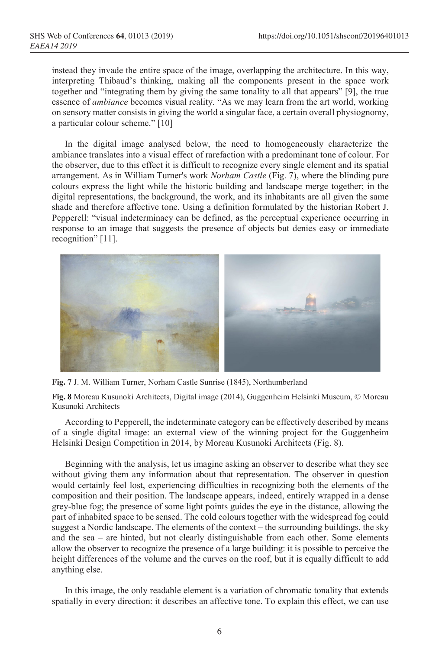instead they invade the entire space of the image, overlapping the architecture. In this way, interpreting Thibaud's thinking, making all the components present in the space work together and "integrating them by giving the same tonality to all that appears" [9], the true essence of *ambiance* becomes visual reality. "As we may learn from the art world, working on sensory matter consists in giving the world a singular face, a certain overall physiognomy, a particular colour scheme." [10]

In the digital image analysed below, the need to homogeneously characterize the ambiance translates into a visual effect of rarefaction with a predominant tone of colour. For the observer, due to this effect it is difficult to recognize every single element and its spatial arrangement. As in William Turner's work *Norham Castle* (Fig. 7), where the blinding pure colours express the light while the historic building and landscape merge together; in the digital representations, the background, the work, and its inhabitants are all given the same shade and therefore affective tone. Using a definition formulated by the historian Robert J. Pepperell: "visual indeterminacy can be defined, as the perceptual experience occurring in response to an image that suggests the presence of objects but denies easy or immediate recognition" [11].



**Fig. 7** J. M. William Turner, Norham Castle Sunrise (1845), Northumberland

**Fig. 8** Moreau Kusunoki Architects, Digital image (2014), Guggenheim Helsinki Museum, © Moreau Kusunoki Architects

According to Pepperell, the indeterminate category can be effectively described by means of a single digital image: an external view of the winning project for the Guggenheim Helsinki Design Competition in 2014, by Moreau Kusunoki Architects (Fig. 8).

Beginning with the analysis, let us imagine asking an observer to describe what they see without giving them any information about that representation. The observer in question would certainly feel lost, experiencing difficulties in recognizing both the elements of the composition and their position. The landscape appears, indeed, entirely wrapped in a dense grey-blue fog; the presence of some light points guides the eye in the distance, allowing the part of inhabited space to be sensed. The cold colours together with the widespread fog could suggest a Nordic landscape. The elements of the context – the surrounding buildings, the sky and the sea – are hinted, but not clearly distinguishable from each other. Some elements allow the observer to recognize the presence of a large building: it is possible to perceive the height differences of the volume and the curves on the roof, but it is equally difficult to add anything else.

In this image, the only readable element is a variation of chromatic tonality that extends spatially in every direction: it describes an affective tone. To explain this effect, we can use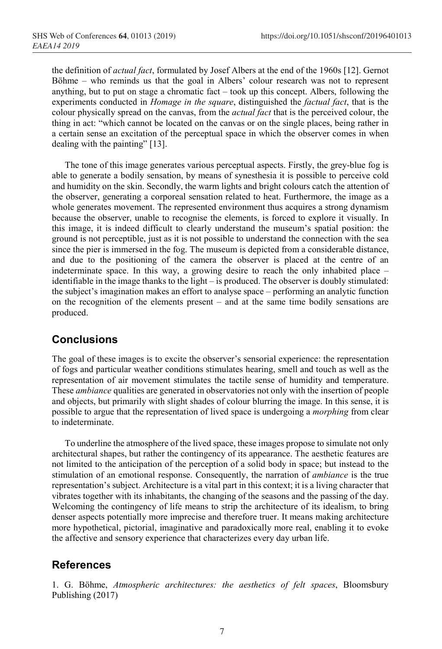the definition of *actual fact*, formulated by Josef Albers at the end of the 1960s [12]. Gernot Böhme – who reminds us that the goal in Albers' colour research was not to represent anything, but to put on stage a chromatic fact – took up this concept. Albers, following the experiments conducted in *Homage in the square*, distinguished the *factual fact*, that is the colour physically spread on the canvas, from the *actual fact* that is the perceived colour, the thing in act: "which cannot be located on the canvas or on the single places, being rather in a certain sense an excitation of the perceptual space in which the observer comes in when dealing with the painting" [13].

The tone of this image generates various perceptual aspects. Firstly, the grey-blue fog is able to generate a bodily sensation, by means of synesthesia it is possible to perceive cold and humidity on the skin. Secondly, the warm lights and bright colours catch the attention of the observer, generating a corporeal sensation related to heat. Furthermore, the image as a whole generates movement. The represented environment thus acquires a strong dynamism because the observer, unable to recognise the elements, is forced to explore it visually. In this image, it is indeed difficult to clearly understand the museum's spatial position: the ground is not perceptible, just as it is not possible to understand the connection with the sea since the pier is immersed in the fog. The museum is depicted from a considerable distance, and due to the positioning of the camera the observer is placed at the centre of an indeterminate space. In this way, a growing desire to reach the only inhabited place – identifiable in the image thanks to the light – is produced. The observer is doubly stimulated: the subject's imagination makes an effort to analyse space – performing an analytic function on the recognition of the elements present – and at the same time bodily sensations are produced.

## **Conclusions**

The goal of these images is to excite the observer's sensorial experience: the representation of fogs and particular weather conditions stimulates hearing, smell and touch as well as the representation of air movement stimulates the tactile sense of humidity and temperature. These *ambiance* qualities are generated in observatories not only with the insertion of people and objects, but primarily with slight shades of colour blurring the image. In this sense, it is possible to argue that the representation of lived space is undergoing a *morphing* from clear to indeterminate.

To underline the atmosphere of the lived space, these images propose to simulate not only architectural shapes, but rather the contingency of its appearance. The aesthetic features are not limited to the anticipation of the perception of a solid body in space; but instead to the stimulation of an emotional response. Consequently, the narration of *ambiance* is the true representation's subject. Architecture is a vital part in this context; it is a living character that vibrates together with its inhabitants, the changing of the seasons and the passing of the day. Welcoming the contingency of life means to strip the architecture of its idealism, to bring denser aspects potentially more imprecise and therefore truer. It means making architecture more hypothetical, pictorial, imaginative and paradoxically more real, enabling it to evoke the affective and sensory experience that characterizes every day urban life.

## **References**

1. G. Böhme, *Atmospheric architectures: the aesthetics of felt spaces*, Bloomsbury Publishing (2017)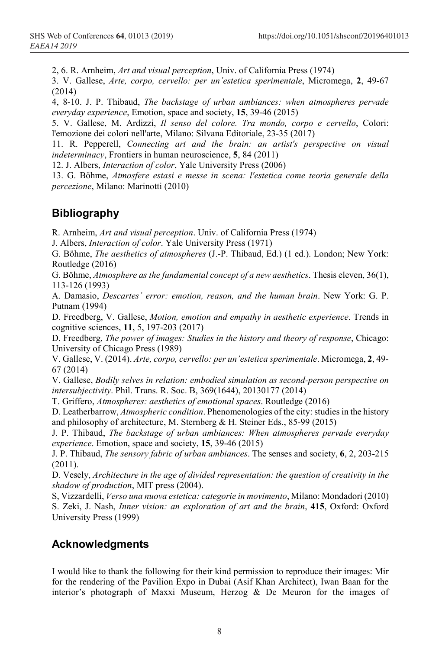2, 6. R. Arnheim, *Art and visual perception*, Univ. of California Press (1974)

3. V. Gallese, *Arte, corpo, cervello: per un'estetica sperimentale*, Micromega, **2**, 49-67 (2014)

4, 8-10. J. P. Thibaud, *The backstage of urban ambiances: when atmospheres pervade everyday experience*, Emotion, space and society, **15**, 39-46 (2015)

5. V. Gallese, M. Ardizzi, *Il senso del colore. Tra mondo, corpo e cervello*, Colori: l'emozione dei colori nell'arte, Milano: Silvana Editoriale, 23-35 (2017)

11. R. Pepperell, *Connecting art and the brain: an artist's perspective on visual indeterminacy*, Frontiers in human neuroscience, **5**, 84 (2011)

12. J. Albers, *Interaction of color*, Yale University Press (2006)

13. G. Böhme, *Atmosfere estasi e messe in scena: l'estetica come teoria generale della percezione*, Milano: Marinotti (2010)

#### **Bibliography**

R. Arnheim, *Art and visual perception*. Univ. of California Press (1974)

J. Albers, *Interaction of color*. Yale University Press (1971)

G. Böhme, *The aesthetics of atmospheres* (J.-P. Thibaud, Ed.) (1 ed.). London; New York: Routledge (2016)

G. Böhme, *Atmosphere as the fundamental concept of a new aesthetics*. Thesis eleven, 36(1), 113-126 (1993)

A. Damasio, *Descartes' error: emotion, reason, and the human brain*. New York: G. P. Putnam (1994)

D. Freedberg, V. Gallese, *Motion, emotion and empathy in aesthetic experience*. Trends in cognitive sciences, **11**, 5, 197-203 (2017)

D. Freedberg, *The power of images: Studies in the history and theory of response*, Chicago: University of Chicago Press (1989)

V. Gallese, V. (2014). *Arte, corpo, cervello: per un'estetica sperimentale*. Micromega, **2**, 49- 67 (2014)

V. Gallese, *Bodily selves in relation: embodied simulation as second-person perspective on intersubjectivity*. Phil. Trans. R. Soc. B, 369(1644), 20130177 (2014)

T. Griffero, *Atmospheres: aesthetics of emotional spaces*. Routledge (2016)

D. Leatherbarrow, *Atmospheric condition*. Phenomenologies of the city: studies in the history and philosophy of architecture, M. Sternberg & H. Steiner Eds., 85-99 (2015)

J. P. Thibaud, *The backstage of urban ambiances: When atmospheres pervade everyday experience*. Emotion, space and society, **15**, 39-46 (2015)

J. P. Thibaud, *The sensory fabric of urban ambiances*. The senses and society, **6**, 2, 203-215 (2011).

D. Vesely, *Architecture in the age of divided representation: the question of creativity in the shadow of production*, MIT press (2004).

S, Vizzardelli, *Verso una nuova estetica: categorie in movimento*, Milano: Mondadori (2010) S. Zeki, J. Nash, *Inner vision: an exploration of art and the brain*, **415**, Oxford: Oxford University Press (1999)

## **Acknowledgments**

I would like to thank the following for their kind permission to reproduce their images: Mir for the rendering of the Pavilion Expo in Dubai (Asif Khan Architect), Iwan Baan for the interior's photograph of Maxxi Museum, Herzog & De Meuron for the images of